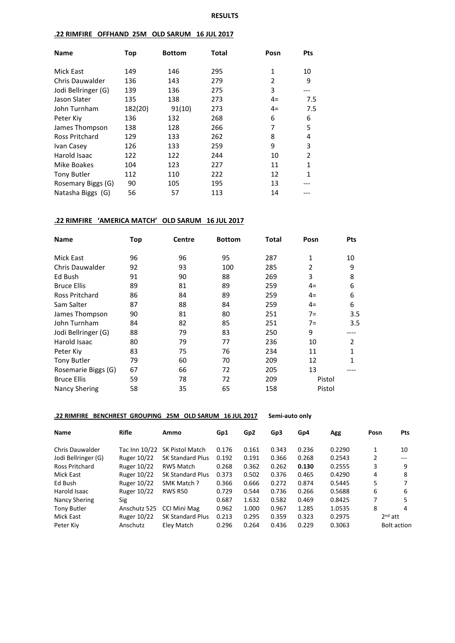### **.22 RIMFIRE OFFHAND 25M OLD SARUM 16 JUL 2017**

| <b>Name</b>            | Top     | <b>Bottom</b> | <b>Total</b> | Posn           | <b>Pts</b>     |
|------------------------|---------|---------------|--------------|----------------|----------------|
| Mick East              | 149     | 146           | 295          | 1              | 10             |
| <b>Chris Dauwalder</b> | 136     | 143           | 279          | $\overline{2}$ | 9              |
| Jodi Bellringer (G)    | 139     | 136           | 275          | 3              | ---            |
| Jason Slater           | 135     | 138           | 273          | $4=$           | 7.5            |
| John Turnham           | 182(20) | 91(10)        | 273          | $4=$           | 7.5            |
| Peter Kiy              | 136     | 132           | 268          | 6              | 6              |
| James Thompson         | 138     | 128           | 266          | 7              | 5              |
| Ross Pritchard         | 129     | 133           | 262          | 8              | 4              |
| Ivan Casey             | 126     | 133           | 259          | 9              | 3              |
| Harold Isaac           | 122     | 122           | 244          | 10             | $\overline{2}$ |
| Mike Boakes            | 104     | 123           | 227          | 11             | $\mathbf{1}$   |
| <b>Tony Butler</b>     | 112     | 110           | 222          | 12             | 1              |
| Rosemary Biggs (G)     | 90      | 105           | 195          | 13             |                |
| Natasha Biggs (G)      | 56      | 57            | 113          | 14             |                |

#### **.22 RIMFIRE 'AMERICA MATCH' OLD SARUM 16 JUL 2017**

| <b>Name</b>            | Top | <b>Centre</b> | <b>Bottom</b> | Total | Posn   | <b>Pts</b> |
|------------------------|-----|---------------|---------------|-------|--------|------------|
| Mick East              | 96  | 96            | 95            | 287   | 1      | 10         |
| <b>Chris Dauwalder</b> | 92  | 93            | 100           | 285   | 2      | 9          |
| Ed Bush                | 91  | 90            | 88            | 269   | 3      | 8          |
| <b>Bruce Ellis</b>     | 89  | 81            | 89            | 259   | $4=$   | 6          |
| Ross Pritchard         | 86  | 84            | 89            | 259   | $4=$   | 6          |
| Sam Salter             | 87  | 88            | 84            | 259   | $4=$   | 6          |
| James Thompson         | 90  | 81            | 80            | 251   | $7=$   | 3.5        |
| John Turnham           | 84  | 82            | 85            | 251   | $7 =$  | 3.5        |
| Jodi Bellringer (G)    | 88  | 79            | 83            | 250   | 9      |            |
| Harold Isaac           | 80  | 79            | 77            | 236   | 10     | 2          |
| Peter Kiv              | 83  | 75            | 76            | 234   | 11     |            |
| <b>Tony Butler</b>     | 79  | 60            | 70            | 209   | 12     | 1          |
| Rosemarie Biggs (G)    | 67  | 66            | 72            | 205   | 13     |            |
| <b>Bruce Ellis</b>     | 59  | 78            | 72            | 209   | Pistol |            |
| <b>Nancy Shering</b>   | 58  | 35            | 65            | 158   | Pistol |            |

### **.22 RIMFIRE BENCHREST GROUPING 25M OLD SARUM 16 JUL 2017 Semi-auto only**

| <b>Rifle</b>       | Ammo                    | Gp1           | Gp <sub>2</sub> | Gp3   | Gp4   | Agg    | Posn | <b>Pts</b>         |
|--------------------|-------------------------|---------------|-----------------|-------|-------|--------|------|--------------------|
|                    | <b>SK Pistol Match</b>  | 0.176         | 0.161           | 0.343 | 0.236 | 0.2290 |      | 10                 |
| <b>Ruger 10/22</b> | <b>SK Standard Plus</b> | 0.192         | 0.191           | 0.366 | 0.268 | 0.2543 | 2    | $---$              |
| Ruger 10/22        | <b>RWS Match</b>        | 0.268         | 0.362           | 0.262 | 0.130 | 0.2555 | 3    | 9                  |
| Ruger 10/22        | <b>SK Standard Plus</b> | 0.373         | 0.502           | 0.376 | 0.465 | 0.4290 | 4    | 8                  |
| Ruger 10/22        | SMK Match?              | 0.366         | 0.666           | 0.272 | 0.874 | 0.5445 | 5    | 7                  |
| Ruger 10/22        | <b>RWS R50</b>          | 0.729         | 0.544           | 0.736 | 0.266 | 0.5688 | 6    | 6                  |
| Sig                |                         | 0.687         | 1.632           | 0.582 | 0.469 | 0.8425 | 7    | 5                  |
| Anschutz 525       | CCI Mini Mag            | 0.962         | 1.000           | 0.967 | 1.285 | 1.0535 | 8    | 4                  |
| Ruger 10/22        | <b>SK Standard Plus</b> | 0.213         | 0.295           | 0.359 | 0.323 | 0.2975 |      | $2nd$ att          |
| Anschutz           | Elev Match              | 0.296         | 0.264           | 0.436 | 0.229 | 0.3063 |      | <b>Bolt action</b> |
|                    |                         | Tac Inn 10/22 |                 |       |       |        |      |                    |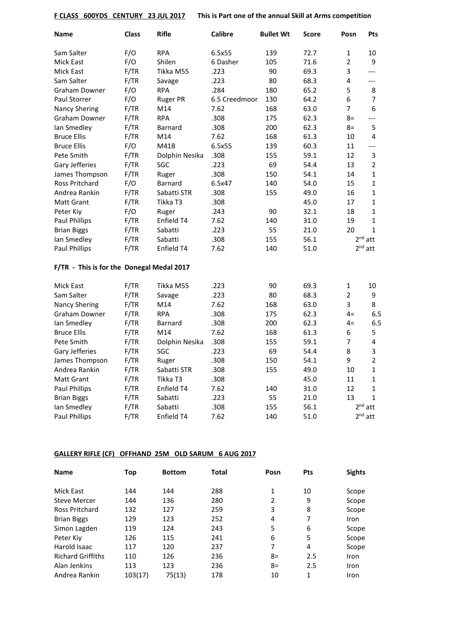**F CLASS 600YDS CENTURY 23 JUL 2017 This is Part one of the annual Skill at Arms competition**

| <b>Name</b>                               | <b>Class</b> | <b>Rifle</b>    | <b>Calibre</b> | <b>Bullet Wt</b> | Score | Posn           | Pts            |
|-------------------------------------------|--------------|-----------------|----------------|------------------|-------|----------------|----------------|
| Sam Salter                                | F/O          | <b>RPA</b>      | 6.5x55         | 139              | 72.7  | $\mathbf{1}$   | 10             |
| Mick East                                 | F/O          | Shilen          | 6 Dasher       | 105              | 71.6  | $\overline{2}$ | 9              |
| <b>Mick East</b>                          | F/TR         | Tikka M55       | .223           | 90               | 69.3  | 3              | $---$          |
| Sam Salter                                | F/TR         | Savage          | .223           | 80               | 68.3  | 4              | $---$          |
| <b>Graham Downer</b>                      | F/O          | <b>RPA</b>      | .284           | 180              | 65.2  | 5              | 8              |
| Paul Storrer                              | F/O          | <b>Ruger PR</b> | 6.5 Creedmoor  | 130              | 64.2  | 6              | 7              |
| <b>Nancy Shering</b>                      | F/TR         | M14             | 7.62           | 168              | 63.0  | 7              | 6              |
| Graham Downer                             | F/TR         | <b>RPA</b>      | .308           | 175              | 62.3  | $8=$           | $---$          |
| Ian Smedley                               | F/TR         | <b>Barnard</b>  | .308           | 200              | 62.3  | 8=             | 5              |
| <b>Bruce Ellis</b>                        | F/TR         | M14             | 7.62           | 168              | 61.3  | 10             | 4              |
| <b>Bruce Ellis</b>                        | F/O          | M41B            | 6.5x55         | 139              | 60.3  | 11             | $---$          |
| Pete Smith                                | F/TR         | Dolphin Nesika  | .308           | 155              | 59.1  | 12             | 3              |
| Gary Jefferies                            | F/TR         | SGC             | .223           | 69               | 54.4  | 13             | $\overline{2}$ |
| James Thompson                            | F/TR         | Ruger           | .308           | 150              | 54.1  | 14             | 1              |
| <b>Ross Pritchard</b>                     | F/O          | Barnard         | 6.5x47         | 140              | 54.0  | 15             | $\mathbf{1}$   |
| Andrea Rankin                             | F/TR         | Sabatti STR     | .308           | 155              | 49.0  | 16             | $\mathbf{1}$   |
| <b>Matt Grant</b>                         | F/TR         | Tikka T3        | .308           |                  | 45.0  | 17             | $\mathbf{1}$   |
| Peter Kiy                                 | F/O          | Ruger           | .243           | 90               | 32.1  | 18             | 1              |
| Paul Phillips                             | F/TR         | Enfield T4      | 7.62           | 140              | 31.0  | 19             | $\mathbf{1}$   |
| <b>Brian Biggs</b>                        | F/TR         | Sabatti         | .223           | 55               | 21.0  | 20             | $\mathbf{1}$   |
| Ian Smedley                               | F/TR         | Sabatti         | .308           | 155              | 56.1  |                | $2nd$ att      |
| Paul Phillips                             | F/TR         | Enfield T4      | 7.62           | 140              | 51.0  |                | $2nd$ att      |
| F/TR - This is for the Donegal Medal 2017 |              |                 |                |                  |       |                |                |
| <b>Mick East</b>                          | F/TR         | Tikka M55       | .223           | 90               | 69.3  | $\mathbf{1}$   | 10             |
| Sam Salter                                | F/TR         | Savage          | .223           | 80               | 68.3  | $\overline{2}$ | 9              |
| <b>Nancy Shering</b>                      | F/TR         | M14             | 7.62           | 168              | 63.0  | 3              | 8              |
| <b>Graham Downer</b>                      | F/TR         | <b>RPA</b>      | .308           | 175              | 62.3  | $4=$           | 6.5            |
| Ian Smedley                               | F/TR         | Barnard         | .308           | 200              | 62.3  | $4=$           | 6.5            |
| <b>Bruce Ellis</b>                        | F/TR         | M14             | 7.62           | 168              | 61.3  | 6              | 5              |
| Pete Smith                                | F/TR         | Dolphin Nesika  | .308           | 155              | 59.1  | 7              | 4              |
| Gary Jefferies                            | F/TR         | SGC             | .223           | 69               | 54.4  | 8              | 3              |
| James Thompson                            | F/TR         | Ruger           | .308           | 150              | 54.1  | 9              | $\overline{2}$ |
| Andrea Rankin                             | F/TR         | Sabatti STR     | .308           | 155              | 49.0  | 10             | $\mathbf{1}$   |
| <b>Matt Grant</b>                         | F/TR         | Tikka T3        | .308           |                  | 45.0  | 11             | $\mathbf{1}$   |
| Paul Phillips                             | F/TR         | Enfield T4      | 7.62           | 140              | 31.0  | 12             | 1              |
| <b>Brian Biggs</b>                        | F/TR         | Sabatti         | .223           | 55               | 21.0  | 13             | $\mathbf{1}$   |
| Ian Smedley                               | F/TR         | Sabatti         | .308           | 155              | 56.1  |                | $2nd$ att      |
| Paul Phillips                             | F/TR         | Enfield T4      | 7.62           | 140              | 51.0  |                | $2^{nd}$ att   |

# **GALLERY RIFLE (CF) OFFHAND 25M OLD SARUM 6 AUG 2017**

| <b>Name</b>              | Top     | <b>Bottom</b> | <b>Total</b> | Posn           | <b>Pts</b> | <b>Sights</b> |
|--------------------------|---------|---------------|--------------|----------------|------------|---------------|
| Mick East                | 144     | 144           | 288          | 1              | 10         | Scope         |
| <b>Steve Mercer</b>      | 144     | 136           | 280          | $\overline{2}$ | 9          | Scope         |
| Ross Pritchard           | 132     | 127           | 259          | 3              | 8          | Scope         |
| <b>Brian Biggs</b>       | 129     | 123           | 252          | 4              | 7          | <b>Iron</b>   |
| Simon Lagden             | 119     | 124           | 243          | 5              | 6          | Scope         |
| Peter Kiy                | 126     | 115           | 241          | 6              | 5          | Scope         |
| Harold Isaac             | 117     | 120           | 237          | 7              | 4          | Scope         |
| <b>Richard Griffiths</b> | 110     | 126           | 236          | $8=$           | 2.5        | Iron          |
| Alan Jenkins             | 113     | 123           | 236          | $8=$           | 2.5        | Iron          |
| Andrea Rankin            | 103(17) | 75(13)        | 178          | 10             | 1          | Iron          |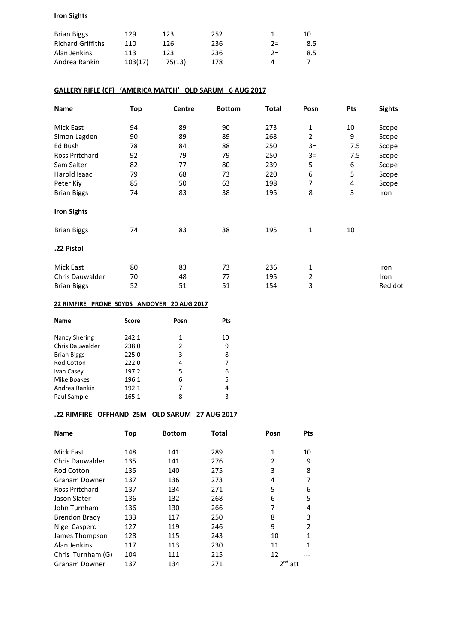### **Iron Sights**

| <b>Brian Biggs</b>       | 129     | 123    | 252 |       | 10  |
|--------------------------|---------|--------|-----|-------|-----|
| <b>Richard Griffiths</b> | 110     | 126    | 236 | $2 =$ | 8.5 |
| Alan Jenkins             | 113     | 123.   | 236 | $2 =$ | 8.5 |
| Andrea Rankin            | 103(17) | 75(13) | 178 |       |     |

### **GALLERY RIFLE (CF) 'AMERICA MATCH' OLD SARUM 6 AUG 2017**

| Name               | <b>Top</b> | Centre | <b>Bottom</b> | <b>Total</b> | Posn           | Pts | <b>Sights</b> |
|--------------------|------------|--------|---------------|--------------|----------------|-----|---------------|
| Mick East          | 94         | 89     | 90            | 273          | 1              | 10  | Scope         |
| Simon Lagden       | 90         | 89     | 89            | 268          | $\overline{2}$ | 9   | Scope         |
| Ed Bush            | 78         | 84     | 88            | 250          | $3=$           | 7.5 | Scope         |
| Ross Pritchard     | 92         | 79     | 79            | 250          | $3=$           | 7.5 | Scope         |
| Sam Salter         | 82         | 77     | 80            | 239          | 5              | 6   | Scope         |
| Harold Isaac       | 79         | 68     | 73            | 220          | 6              | 5   | Scope         |
| Peter Kiy          | 85         | 50     | 63            | 198          | 7              | 4   | Scope         |
| <b>Brian Biggs</b> | 74         | 83     | 38            | 195          | 8              | 3   | Iron          |
| <b>Iron Sights</b> |            |        |               |              |                |     |               |
| <b>Brian Biggs</b> | 74         | 83     | 38            | 195          | 1              | 10  |               |
| .22 Pistol         |            |        |               |              |                |     |               |
| Mick East          | 80         | 83     | 73            | 236          | 1              |     | Iron          |
| Chris Dauwalder    | 70         | 48     | 77            | 195          | 2              |     | Iron          |
| <b>Brian Biggs</b> | 52         | 51     | 51            | 154          | 3              |     | Red dot       |

#### **22 RIMFIRE PRONE 50YDS ANDOVER 20 AUG 2017**

| Score | Posn | Pts |
|-------|------|-----|
| 242.1 | 1    | 10  |
| 238.0 | 2    | 9   |
| 225.0 | 3    | 8   |
| 222.0 | 4    |     |
| 197.2 | 5    | 6   |
| 196.1 | 6    | 5   |
| 192.1 | 7    | 4   |
| 165.1 | 8    | 3   |
|       |      |     |

# **.22 RIMFIRE OFFHAND 25M OLD SARUM 27 AUG 2017**

| <b>Name</b>          | Top | <b>Bottom</b> | <b>Total</b> | Posn           | <b>Pts</b>     |
|----------------------|-----|---------------|--------------|----------------|----------------|
| Mick East            | 148 | 141           | 289          | 1              | 10             |
| Chris Dauwalder      | 135 | 141           | 276          | $\overline{2}$ | 9              |
| <b>Rod Cotton</b>    | 135 | 140           | 275          | 3              | 8              |
| Graham Downer        | 137 | 136           | 273          | 4              | 7              |
| Ross Pritchard       | 137 | 134           | 271          | 5              | 6              |
| Jason Slater         | 136 | 132           | 268          | 6              | 5              |
| John Turnham         | 136 | 130           | 266          | 7              | 4              |
| Brendon Brady        | 133 | 117           | 250          | 8              | 3              |
| Nigel Casperd        | 127 | 119           | 246          | 9              | $\mathfrak{p}$ |
| James Thompson       | 128 | 115           | 243          | 10             | 1              |
| Alan Jenkins         | 117 | 113           | 230          | 11             | 1              |
| Chris Turnham (G)    | 104 | 111           | 215          | 12             |                |
| <b>Graham Downer</b> | 137 | 134           | 271          | $2nd$ att      |                |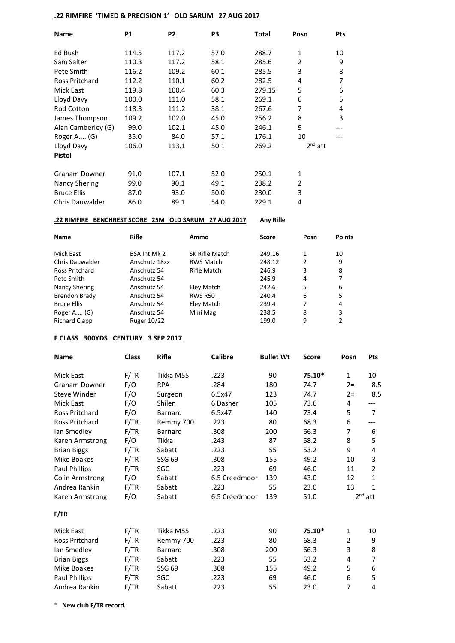### **.22 RIMFIRE 'TIMED & PRECISION 1' OLD SARUM 27 AUG 2017**

| <b>Name</b>           | P1    | P <sub>2</sub> | P <sub>3</sub> | Total  | Posn      | Pts |
|-----------------------|-------|----------------|----------------|--------|-----------|-----|
| Ed Bush               | 114.5 | 117.2          | 57.0           | 288.7  | 1         | 10  |
| Sam Salter            | 110.3 | 117.2          | 58.1           | 285.6  | 2         | 9   |
| Pete Smith            | 116.2 | 109.2          | 60.1           | 285.5  | 3         | 8   |
| <b>Ross Pritchard</b> | 112.2 | 110.1          | 60.2           | 282.5  | 4         | 7   |
| Mick East             | 119.8 | 100.4          | 60.3           | 279.15 | 5         | 6   |
| Lloyd Davy            | 100.0 | 111.0          | 58.1           | 269.1  | 6         | 5   |
| <b>Rod Cotton</b>     | 118.3 | 111.2          | 38.1           | 267.6  | 7         | 4   |
| James Thompson        | 109.2 | 102.0          | 45.0           | 256.2  | 8         | 3   |
| Alan Camberley (G)    | 99.0  | 102.1          | 45.0           | 246.1  | 9         |     |
| Roger A (G)           | 35.0  | 84.0           | 57.1           | 176.1  | 10        |     |
| Lloyd Davy            | 106.0 | 113.1          | 50.1           | 269.2  | $2nd$ att |     |
| <b>Pistol</b>         |       |                |                |        |           |     |
| Graham Downer         | 91.0  | 107.1          | 52.0           | 250.1  | 1         |     |
| Nancy Shering         | 99.0  | 90.1           | 49.1           | 238.2  | 2         |     |
| <b>Bruce Ellis</b>    | 87.0  | 93.0           | 50.0           | 230.0  | 3         |     |
| Chris Dauwalder       | 86.0  | 89.1           | 54.0           | 229.1  | 4         |     |

### **.22 RIMFIRE BENCHREST SCORE 25M OLD SARUM 27 AUG 2017 Any Rifle**

| <b>Name</b>            | <b>Rifle</b>        | Ammo             | Score  | Posn | <b>Points</b> |
|------------------------|---------------------|------------------|--------|------|---------------|
| Mick East              | <b>BSA Int Mk 2</b> | SK Rifle Match   | 249.16 | 1    | 10            |
| <b>Chris Dauwalder</b> | Anschutz 18xx       | <b>RWS Match</b> | 248.12 | 2    | 9             |
| Ross Pritchard         | Anschutz 54         | Rifle Match      | 246.9  | 3    | 8             |
| Pete Smith             | Anschutz 54         |                  | 245.9  | 4    |               |
| Nancy Shering          | Anschutz 54         | Eley Match       | 242.6  | 5    | 6             |
| Brendon Brady          | Anschutz 54         | <b>RWS R50</b>   | 240.4  | 6    | 5             |
| <b>Bruce Ellis</b>     | Anschutz 54         | Eley Match       | 239.4  | 7    | 4             |
| Roger A (G)            | Anschutz 54         | Mini Mag         | 238.5  | 8    | 3             |
| <b>Richard Clapp</b>   | Ruger 10/22         |                  | 199.0  | 9    | 2             |

#### **F CLASS 300YDS CENTURY 3 SEP 2017**

| <b>Name</b>            | <b>Class</b> | <b>Rifle</b> | <b>Calibre</b> | <b>Bullet Wt</b> | Score  | Posn           | <b>Pts</b>     |
|------------------------|--------------|--------------|----------------|------------------|--------|----------------|----------------|
| <b>Mick East</b>       | F/TR         | Tikka M55    | .223           | 90               | 75.10* | $\mathbf{1}$   | 10             |
| <b>Graham Downer</b>   | F/O          | <b>RPA</b>   | .284           | 180              | 74.7   | $2 =$          | 8.5            |
| <b>Steve Winder</b>    | F/O          | Surgeon      | 6.5x47         | 123              | 74.7   | $2 =$          | 8.5            |
| <b>Mick East</b>       | F/O          | Shilen       | 6 Dasher       | 105              | 73.6   | 4              | ---            |
| <b>Ross Pritchard</b>  | F/O          | Barnard      | 6.5x47         | 140              | 73.4   | 5              | 7              |
| <b>Ross Pritchard</b>  | F/TR         | Remmy 700    | .223           | 80               | 68.3   | 6              | ---            |
| lan Smedley            | F/TR         | Barnard      | .308           | 200              | 66.3   | 7              | 6              |
| Karen Armstrong        | F/O          | Tikka        | .243           | 87               | 58.2   | 8              | 5              |
| <b>Brian Biggs</b>     | F/TR         | Sabatti      | .223           | 55               | 53.2   | 9              | 4              |
| Mike Boakes            | F/TR         | SSG 69       | .308           | 155              | 49.2   | 10             | 3              |
| Paul Phillips          | F/TR         | SGC          | .223           | 69               | 46.0   | 11             | $\overline{2}$ |
| <b>Colin Armstrong</b> | F/O          | Sabatti      | 6.5 Creedmoor  | 139              | 43.0   | 12             | $\mathbf{1}$   |
| Andrea Rankin          | F/TR         | Sabatti      | .223           | 55               | 23.0   | 13             | $\mathbf{1}$   |
| Karen Armstrong        | F/O          | Sabatti      | 6.5 Creedmoor  | 139              | 51.0   |                | $2nd$ att      |
| F/TR                   |              |              |                |                  |        |                |                |
| Mick East              | F/TR         | Tikka M55    | .223           | 90               | 75.10* | $\mathbf{1}$   | 10             |
| Ross Pritchard         | F/TR         | Remmy 700    | .223           | 80               | 68.3   | $\overline{2}$ | 9              |
| lan Smedley            | F/TR         | Barnard      | .308           | 200              | 66.3   | 3              | 8              |
| <b>Brian Biggs</b>     | F/TR         | Sabatti      | .223           | 55               | 53.2   | 4              | 7              |
| Mike Boakes            | F/TR         | SSG 69       | .308           | 155              | 49.2   | 5              | 6              |
| Paul Phillips          | F/TR         | SGC          | .223           | 69               | 46.0   | 6              | 5              |
| Andrea Rankin          | F/TR         | Sabatti      | .223           | 55               | 23.0   | 7              | 4              |

**\* New club F/TR record.**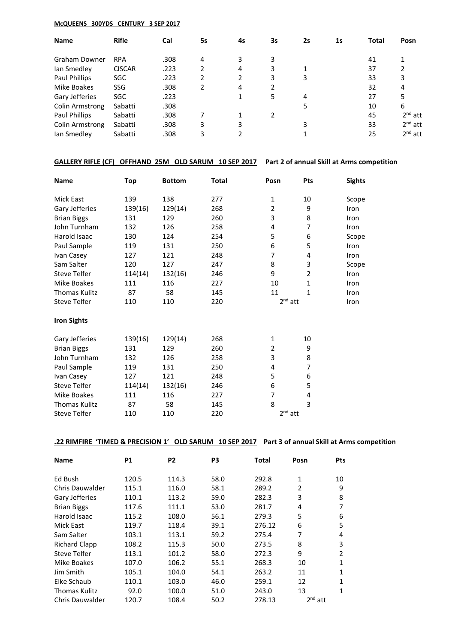#### **McQUEENS 300YDS CENTURY 3 SEP 2017**

| <b>Name</b>          | <b>Rifle</b>  | Cal  | 5s | 4s | 3s | 2s | 1s | <b>Total</b> | Posn      |
|----------------------|---------------|------|----|----|----|----|----|--------------|-----------|
| Graham Downer        | <b>RPA</b>    | .308 | 4  | 3  | 3  |    |    | 41           |           |
| Ian Smedley          | <b>CISCAR</b> | .223 | 2  | 4  | 3  |    |    | 37           |           |
| Paul Phillips        | SGC           | .223 | 2  | 2  | 3  | 3  |    | 33           | 3         |
| Mike Boakes          | <b>SSG</b>    | .308 | 2  | 4  | 2  |    |    | 32           | 4         |
| Gary Jefferies       | <b>SGC</b>    | .223 |    |    | 5  | 4  |    | 27           | 5         |
| Colin Armstrong      | Sabatti       | .308 |    |    |    |    |    | 10           | 6         |
| <b>Paul Phillips</b> | Sabatti       | .308 |    |    | 2  |    |    | 45           | $2nd$ att |
| Colin Armstrong      | Sabatti       | .308 | 3  | 3  |    |    |    | 33           | $2nd$ att |
| lan Smedley          | Sabatti       | .308 | 3  |    |    |    |    | 25           | $2nd$ att |

# **GALLERY RIFLE (CF) OFFHAND 25M OLD SARUM 10 SEP 2017 Part 2 of annual Skill at Arms competition**

| <b>Name</b>          | Top     | <b>Bottom</b> | Total | Posn           | Pts            | <b>Sights</b> |
|----------------------|---------|---------------|-------|----------------|----------------|---------------|
| Mick East            | 139     | 138           | 277   | 1              | 10             | Scope         |
| Gary Jefferies       | 139(16) | 129(14)       | 268   | 2              | 9              | Iron          |
| <b>Brian Biggs</b>   | 131     | 129           | 260   | 3              | 8              | Iron          |
| John Turnham         | 132     | 126           | 258   | 4              | 7              | Iron          |
| Harold Isaac         | 130     | 124           | 254   | 5              | 6              | Scope         |
| Paul Sample          | 119     | 131           | 250   | 6              | 5              | Iron          |
| Ivan Casey           | 127     | 121           | 248   | 7              | 4              | Iron          |
| Sam Salter           | 120     | 127           | 247   | 8              | 3              | Scope         |
| <b>Steve Telfer</b>  | 114(14) | 132(16)       | 246   | 9              | $\overline{2}$ | Iron          |
| Mike Boakes          | 111     | 116           | 227   | 10             | $\mathbf{1}$   | Iron          |
| <b>Thomas Kulitz</b> | 87      | 58            | 145   | 11             | 1              | Iron          |
| <b>Steve Telfer</b>  | 110     | 110           | 220   | $2nd$ att      |                | Iron          |
| <b>Iron Sights</b>   |         |               |       |                |                |               |
| Gary Jefferies       | 139(16) | 129(14)       | 268   | 1              | 10             |               |
| <b>Brian Biggs</b>   | 131     | 129           | 260   | $\overline{2}$ | 9              |               |
| John Turnham         | 132     | 126           | 258   | 3              | 8              |               |
| Paul Sample          | 119     | 131           | 250   | 4              | 7              |               |
| Ivan Casey           | 127     | 121           | 248   | 5              | 6              |               |
| <b>Steve Telfer</b>  | 114(14) | 132(16)       | 246   | 6              | 5              |               |
| Mike Boakes          | 111     | 116           | 227   | 7              | 4              |               |
| <b>Thomas Kulitz</b> | 87      | 58            | 145   | 8              | 3              |               |
| <b>Steve Telfer</b>  | 110     | 110           | 220   | $2^{nd}$ att   |                |               |

# **.22 RIMFIRE 'TIMED & PRECISION 1' OLD SARUM 10 SEP 2017 Part 3 of annual Skill at Arms competition**

| <b>Name</b>            | <b>P1</b> | P <sub>2</sub> | P3   | Total  | Posn      | <b>Pts</b> |
|------------------------|-----------|----------------|------|--------|-----------|------------|
| Ed Bush                | 120.5     | 114.3          | 58.0 | 292.8  | 1         | 10         |
| <b>Chris Dauwalder</b> | 115.1     | 116.0          | 58.1 | 289.2  | 2         | 9          |
| Gary Jefferies         | 110.1     | 113.2          | 59.0 | 282.3  | 3         | 8          |
| <b>Brian Biggs</b>     | 117.6     | 111.1          | 53.0 | 281.7  | 4         | 7          |
| Harold Isaac           | 115.2     | 108.0          | 56.1 | 279.3  | 5         | 6          |
| Mick East              | 119.7     | 118.4          | 39.1 | 276.12 | 6         | 5          |
| Sam Salter             | 103.1     | 113.1          | 59.2 | 275.4  | 7         | 4          |
| <b>Richard Clapp</b>   | 108.2     | 115.3          | 50.0 | 273.5  | 8         | 3          |
| Steve Telfer           | 113.1     | 101.2          | 58.0 | 272.3  | 9         | 2          |
| Mike Boakes            | 107.0     | 106.2          | 55.1 | 268.3  | 10        | 1          |
| Jim Smith              | 105.1     | 104.0          | 54.1 | 263.2  | 11        | 1          |
| Elke Schaub            | 110.1     | 103.0          | 46.0 | 259.1  | 12        | 1          |
| Thomas Kulitz          | 92.0      | 100.0          | 51.0 | 243.0  | 13        | 1          |
| <b>Chris Dauwalder</b> | 120.7     | 108.4          | 50.2 | 278.13 | $2nd$ att |            |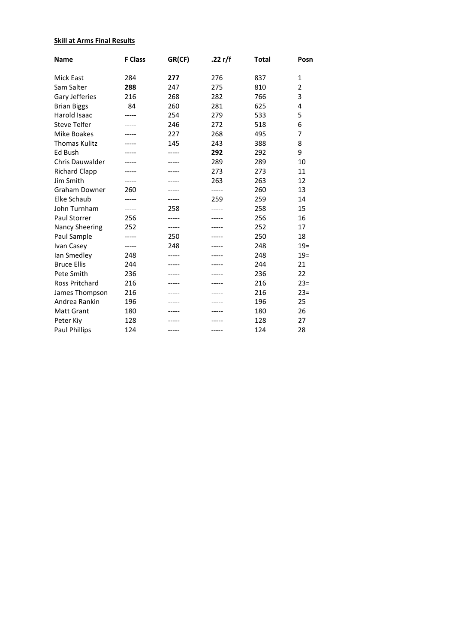# **Skill at Arms Final Results**

| <b>Name</b>           | <b>F Class</b> | GR(CF) | .22 r/f | <b>Total</b> | Posn           |
|-----------------------|----------------|--------|---------|--------------|----------------|
| <b>Mick East</b>      | 284            | 277    | 276     | 837          | $\mathbf{1}$   |
| Sam Salter            | 288            | 247    | 275     | 810          | $\overline{2}$ |
| Gary Jefferies        | 216            | 268    | 282     | 766          | 3              |
| <b>Brian Biggs</b>    | 84             | 260    | 281     | 625          | 4              |
| Harold Isaac          |                | 254    | 279     | 533          | 5              |
| <b>Steve Telfer</b>   |                | 246    | 272     | 518          | 6              |
| Mike Boakes           |                | 227    | 268     | 495          | 7              |
| <b>Thomas Kulitz</b>  |                | 145    | 243     | 388          | 8              |
| Ed Bush               |                |        | 292     | 292          | 9              |
| Chris Dauwalder       |                | -----  | 289     | 289          | 10             |
| <b>Richard Clapp</b>  |                |        | 273     | 273          | 11             |
| Jim Smith             | -----          | -----  | 263     | 263          | 12             |
| <b>Graham Downer</b>  | 260            |        |         | 260          | 13             |
| Elke Schaub           |                |        | 259     | 259          | 14             |
| John Turnham          | -----          | 258    | -----   | 258          | 15             |
| Paul Storrer          | 256            | -----  |         | 256          | 16             |
| <b>Nancy Sheering</b> | 252            | -----  |         | 252          | 17             |
| Paul Sample           | -----          | 250    |         | 250          | 18             |
| Ivan Casey            | -----          | 248    |         | 248          | $19=$          |
| lan Smedley           | 248            | -----  |         | 248          | $19=$          |
| <b>Bruce Ellis</b>    | 244            | -----  |         | 244          | 21             |
| Pete Smith            | 236            |        |         | 236          | 22             |
| <b>Ross Pritchard</b> | 216            |        |         | 216          | $23=$          |
| James Thompson        | 216            |        |         | 216          | $23=$          |
| Andrea Rankin         | 196            |        |         | 196          | 25             |
| <b>Matt Grant</b>     | 180            |        |         | 180          | 26             |
| Peter Kiy             | 128            |        |         | 128          | 27             |
| <b>Paul Phillips</b>  | 124            | -----  | -----   | 124          | 28             |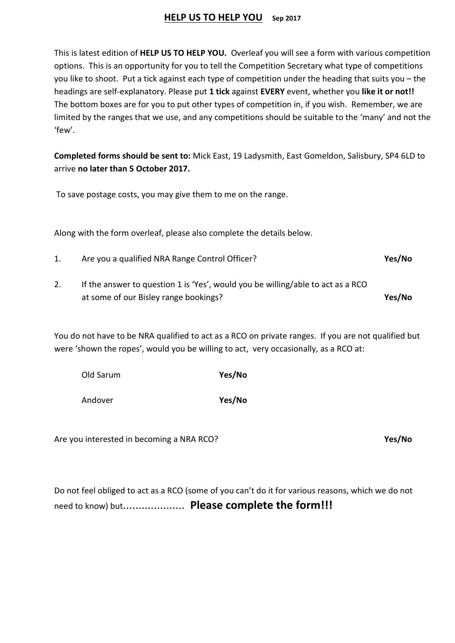# **HELP US TO HELP YOU Sep 2017**

This is latest edition of **HELP US TO HELP YOU.** Overleaf you will see a form with various competition options. This is an opportunity for you to tell the Competition Secretary what type of competitions you like to shoot. Put a tick against each type of competition under the heading that suits you – the headings are self-explanatory. Please put **1 tick** against **EVERY** event, whether you **like it or not!!** The bottom boxes are for you to put other types of competition in, if you wish. Remember, we are limited by the ranges that we use, and any competitions should be suitable to the 'many' and not the 'few'.

**Completed forms should be sent to:** Mick East, 19 Ladysmith, East Gomeldon, Salisbury, SP4 6LD to arrive **no later than 5 October 2017.**

To save postage costs, you may give them to me on the range.

Along with the form overleaf, please also complete the details below.

- 1. Are you a qualified NRA Range Control Officer? **Yes/No**
- 2. If the answer to question 1 is 'Yes', would you be willing/able to act as a RCO at some of our Bisley range bookings? **Yes/No**

You do not have to be NRA qualified to act as a RCO on private ranges. If you are not qualified but were 'shown the ropes', would you be willing to act, very occasionally, as a RCO at:

| Old Sarum | Yes/No |
|-----------|--------|
|           |        |

Andover **Yes/No**

Are you interested in becoming a NRA RCO? **Yes/No**

Do not feel obliged to act as a RCO (some of you can't do it for various reasons, which we do not need to know) but.................... **Please complete the form!!!**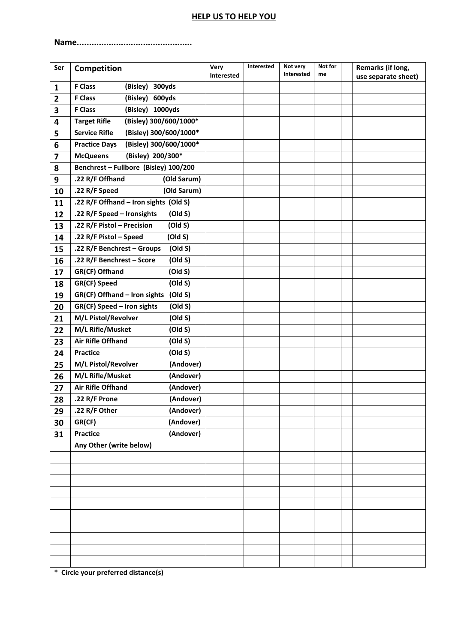# **HELP US TO HELP YOU**

**Name...............................................**

| Ser                     | Competition                                    | Very<br><b>Interested</b> | Interested | Not very<br>Interested | Not for<br>me | Remarks (if long,<br>use separate sheet) |
|-------------------------|------------------------------------------------|---------------------------|------------|------------------------|---------------|------------------------------------------|
| $\mathbf{1}$            | <b>F Class</b><br>(Bisley)<br>300yds           |                           |            |                        |               |                                          |
| $\overline{2}$          | <b>F Class</b><br>(Bisley)<br>600yds           |                           |            |                        |               |                                          |
| 3                       | <b>F Class</b><br>(Bisley)<br>1000yds          |                           |            |                        |               |                                          |
| 4                       | (Bisley) 300/600/1000*<br><b>Target Rifle</b>  |                           |            |                        |               |                                          |
| 5                       | (Bisley) 300/600/1000*<br><b>Service Rifle</b> |                           |            |                        |               |                                          |
| 6                       | (Bisley) 300/600/1000*<br><b>Practice Days</b> |                           |            |                        |               |                                          |
| $\overline{\mathbf{z}}$ | (Bisley) 200/300*<br><b>McQueens</b>           |                           |            |                        |               |                                          |
| 8                       | Benchrest - Fullbore (Bisley) 100/200          |                           |            |                        |               |                                          |
| 9                       | .22 R/F Offhand<br>(Old Sarum)                 |                           |            |                        |               |                                          |
| 10                      | (Old Sarum)<br>.22 R/F Speed                   |                           |            |                        |               |                                          |
| 11                      | .22 R/F Offhand - Iron sights (Old S)          |                           |            |                        |               |                                          |
| 12                      | .22 R/F Speed - Ironsights<br>(Old S)          |                           |            |                        |               |                                          |
| 13                      | .22 R/F Pistol - Precision<br>(Old S)          |                           |            |                        |               |                                          |
| 14                      | (Old S)<br>.22 R/F Pistol - Speed              |                           |            |                        |               |                                          |
| 15                      | .22 R/F Benchrest - Groups<br>(Old S)          |                           |            |                        |               |                                          |
| 16                      | .22 R/F Benchrest - Score<br>(Old S)           |                           |            |                        |               |                                          |
| 17                      | GR(CF) Offhand<br>(Old S)                      |                           |            |                        |               |                                          |
| 18                      | (Old S)<br>GR(CF) Speed                        |                           |            |                        |               |                                          |
| 19                      | GR(CF) Offhand - Iron sights<br>(Old S)        |                           |            |                        |               |                                          |
| 20                      | (Old S)<br>GR(CF) Speed - Iron sights          |                           |            |                        |               |                                          |
| 21                      | M/L Pistol/Revolver<br>(Old S)                 |                           |            |                        |               |                                          |
| 22                      | M/L Rifle/Musket<br>(Old S)                    |                           |            |                        |               |                                          |
| 23                      | <b>Air Rifle Offhand</b><br>(Old S)            |                           |            |                        |               |                                          |
| 24                      | (Old S)<br><b>Practice</b>                     |                           |            |                        |               |                                          |
| 25                      | M/L Pistol/Revolver<br>(Andover)               |                           |            |                        |               |                                          |
| 26                      | M/L Rifle/Musket<br>(Andover)                  |                           |            |                        |               |                                          |
| 27                      | <b>Air Rifle Offhand</b><br>(Andover)          |                           |            |                        |               |                                          |
| 28                      | (Andover)<br>.22 R/F Prone                     |                           |            |                        |               |                                          |
| 29                      | .22 R/F Other<br>(Andover)                     |                           |            |                        |               |                                          |
| 30                      | (Andover)<br>GR(CF)                            |                           |            |                        |               |                                          |
| 31                      | (Andover)<br><b>Practice</b>                   |                           |            |                        |               |                                          |
|                         | Any Other (write below)                        |                           |            |                        |               |                                          |
|                         |                                                |                           |            |                        |               |                                          |
|                         |                                                |                           |            |                        |               |                                          |
|                         |                                                |                           |            |                        |               |                                          |
|                         |                                                |                           |            |                        |               |                                          |
|                         |                                                |                           |            |                        |               |                                          |
|                         |                                                |                           |            |                        |               |                                          |
|                         |                                                |                           |            |                        |               |                                          |
|                         |                                                |                           |            |                        |               |                                          |
|                         |                                                |                           |            |                        |               |                                          |
|                         |                                                |                           |            |                        |               |                                          |

**\* Circle your preferred distance(s)**